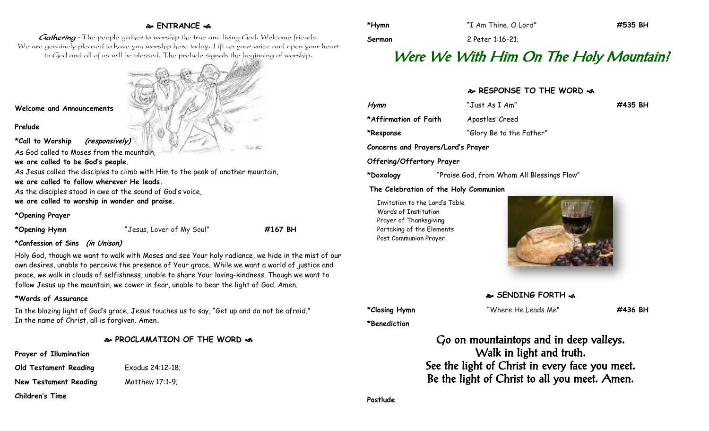# **ENTRANCE**

Gathering - The people gather to worship the true and living God. Welcome friends. We are genuinely pleased to have you worship here today. Lift up your voice and open your heart to God and all of us will be blessed. The prelude signals the beginning of worship.

**Welcome and Announcements**

#### **Prelude**

**\*Call to Worship (responsively)**

As God called to Moses from the mountain,

**we are called to be God's people.**

As Jesus called the disciples to climb with Him to the peak of another mountain, **we are called to follow wherever He leads.**

As the disciples stood in awe at the sound of God's voice,

**we are called to worship in wonder and praise.**

**\*Opening Prayer**

**\*Opening Hymn** "Jesus, Lover of My Soul" **#167 BH**

## **\*Confession of Sins (in Unison)**

Holy God, though we want to walk with Moses and see Your holy radiance, we hide in the mist of our own desires, unable to perceive the presence of Your grace. While we want a world of justice and peace, we walk in clouds of selfishness, unable to share Your loving-kindness. Though we want to follow Jesus up the mountain, we cower in fear, unable to bear the light of God. Amen.

# **\*Words of Assurance**

In the blazing light of God's grace, Jesus touches us to say, "Get up and do not be afraid." In the name of Christ, all is forgiven. Amen**.**

**PROCLAMATION OF THE WORD** 

## **Prayer of Illumination**

**Old Testament Reading** Exodus 24:12-18;

**Children's Time**

**New Testament Reading Matthew 17:1-9;** 

**Offering/Offertory Prayer The Celebration of the Holy Communion**

Invitation to the Lord's Table



**SENDING FORTH &** 

**\*Benediction**

**\*Closing Hymn** "Where He Leads Me" **#436 BH**

Go on mountaintops and in deep valleys. Walk in light and truth. See the light of Christ in every face you meet. Be the light of Christ to all you meet. Amen.

**Postlude**

**\*Hymn** "I Am Thine, O Lord" **#535 BH**

**Sermon** 2 Peter 1:16-21;

# Were We With Him On The Holy Mountain?

# **RESPONSE TO THE WORD**  $\approx$

\*Affirmation of Faith Apostles' Creed

**Hymn** "Just As I Am" **#435 BH**

**\*Response** "Glory Be to the Father"

**Concerns and Prayers/Lord's Prayer**

**\*Doxology** "Praise God, from Whom All Blessings Flow"

Words of Institution Prayer of Thanksgiving Partaking of the Elements Post Communion Prayer